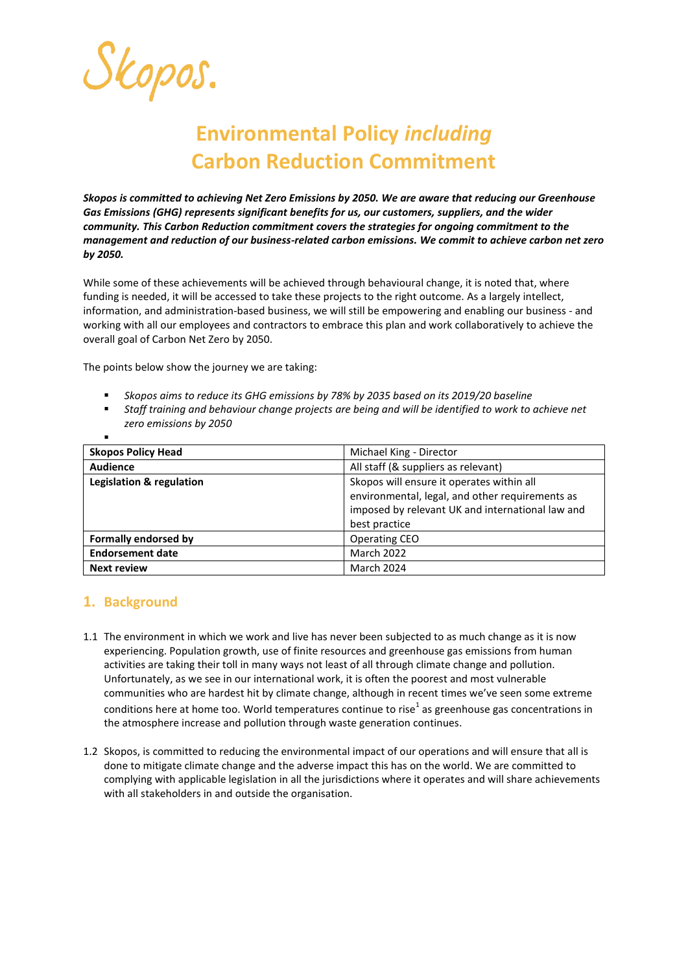Skopos.

# **Environmental Policy** *including* **Carbon Reduction Commitment**

*Skopos is committed to achieving Net Zero Emissions by 2050. We are aware that reducing our Greenhouse Gas Emissions (GHG) represents significant benefits for us, our customers, suppliers, and the wider community. This Carbon Reduction commitment covers the strategies for ongoing commitment to the management and reduction of our business-related carbon emissions. We commit to achieve carbon net zero by 2050.*

While some of these achievements will be achieved through behavioural change, it is noted that, where funding is needed, it will be accessed to take these projects to the right outcome. As a largely intellect, information, and administration-based business, we will still be empowering and enabling our business - and working with all our employees and contractors to embrace this plan and work collaboratively to achieve the overall goal of Carbon Net Zero by 2050.

The points below show the journey we are taking:

- *Skopos aims to reduce its GHG emissions by 78% by 2035 based on its 2019/20 baseline*
- *Staff training and behaviour change projects are being and will be identified to work to achieve net zero emissions by 2050*

| ٠                           |                                                  |
|-----------------------------|--------------------------------------------------|
| <b>Skopos Policy Head</b>   | Michael King - Director                          |
| <b>Audience</b>             | All staff (& suppliers as relevant)              |
| Legislation & regulation    | Skopos will ensure it operates within all        |
|                             | environmental, legal, and other requirements as  |
|                             | imposed by relevant UK and international law and |
|                             | best practice                                    |
| <b>Formally endorsed by</b> | <b>Operating CEO</b>                             |
| <b>Endorsement date</b>     | <b>March 2022</b>                                |
| <b>Next review</b>          | March 2024                                       |

## **1. Background**

- 1.1 The environment in which we work and live has never been subjected to as much change as it is now experiencing. Population growth, use of finite resources and greenhouse gas emissions from human activities are taking their toll in many ways not least of all through climate change and pollution. Unfortunately, as we see in our international work, it is often the poorest and most vulnerable communities who are hardest hit by climate change, although in recent times we've seen some extreme conditions here at home too. World temperatures continue to rise<sup>1</sup> as greenhouse gas concentrations in the atmosphere increase and pollution through waste generation continues.
- 1.2 Skopos, is committed to reducing the environmental impact of our operations and will ensure that all is done to mitigate climate change and the adverse impact this has on the world. We are committed to complying with applicable legislation in all the jurisdictions where it operates and will share achievements with all stakeholders in and outside the organisation.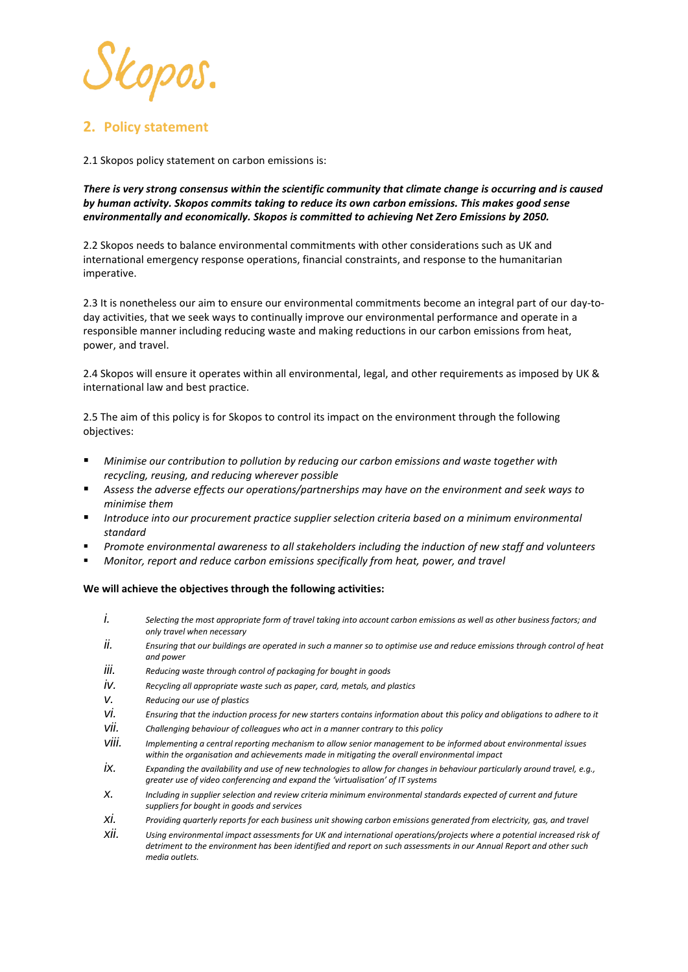

## **2. Policy statement**

2.1 Skopos policy statement on carbon emissions is:

*There is very strong consensus within the scientific community that climate change is occurring and is caused by human activity. Skopos commits taking to reduce its own carbon emissions. This makes good sense environmentally and economically. Skopos is committed to achieving Net Zero Emissions by 2050.*

2.2 Skopos needs to balance environmental commitments with other considerations such as UK and international emergency response operations, financial constraints, and response to the humanitarian imperative.

2.3 It is nonetheless our aim to ensure our environmental commitments become an integral part of our day-today activities, that we seek ways to continually improve our environmental performance and operate in a responsible manner including reducing waste and making reductions in our carbon emissions from heat, power, and travel.

2.4 Skopos will ensure it operates within all environmental, legal, and other requirements as imposed by UK & international law and best practice.

2.5 The aim of this policy is for Skopos to control its impact on the environment through the following objectives:

- *Minimise our contribution to pollution by reducing our carbon emissions and waste together with recycling, reusing, and reducing wherever possible*
- *Assess the adverse effects our operations/partnerships may have on the environment and seek ways to minimise them*
- *Introduce into our procurement practice supplier selection criteria based on a minimum environmental standard*
- *Promote environmental awareness to all stakeholders including the induction of new staff and volunteers*
- *Monitor, report and reduce carbon emissions specifically from heat, power, and travel*

**We will achieve the objectives through the following activities:** 

- *i. Selecting the most appropriate form of travel taking into account carbon emissions as well as other business factors; and only travel when necessary*
- *ii. Ensuring that our buildings are operated in such a manner so to optimise use and reduce emissions through control of heat and power*
- *iii. Reducing waste through control of packaging for bought in goods*
- *iv. Recycling all appropriate waste such as paper, card, metals, and plastics*
- *v. Reducing our use of plastics*
- *vi. Ensuring that the induction process for new starters contains information about this policy and obligations to adhere to it*
- *vii. Challenging behaviour of colleagues who act in a manner contrary to this policy*
- *viii. Implementing a central reporting mechanism to allow senior management to be informed about environmental issues within the organisation and achievements made in mitigating the overall environmental impact*
- *ix. Expanding the availability and use of new technologies to allow for changes in behaviour particularly around travel, e.g., greater use of video conferencing and expand the 'virtualisation' of IT systems*
- *x. Including in supplier selection and review criteria minimum environmental standards expected of current and future suppliers for bought in goods and services*
- *xi. Providing quarterly reports for each business unit showing carbon emissions generated from electricity, gas, and travel*
- *xii. Using environmental impact assessments for UK and international operations/projects where a potential increased risk of detriment to the environment has been identified and report on such assessments in our Annual Report and other such media outlets.*